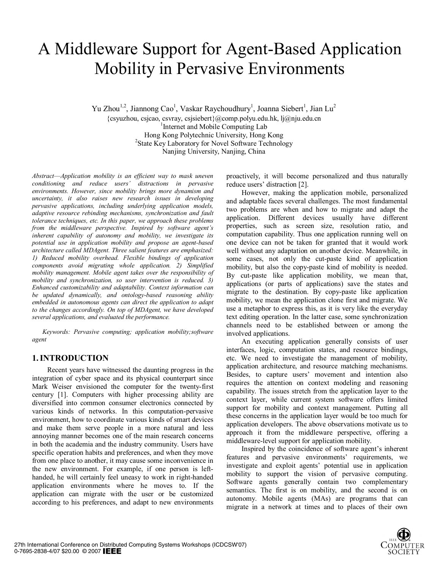# A Middleware Support for Agent-Based Application Mobility in Pervasive Environments

Yu Zhou<sup>1,2</sup>, Jiannong Cao<sup>1</sup>, Vaskar Raychoudhury<sup>1</sup>, Joanna Siebert<sup>1</sup>, Jian Lu<sup>2</sup>  ${c<sub>s</sub>yzhou, csjcao, csvray, csjsiebert}@comp.polyu.edu.hk, lj@nju.edu.cn$ <sup>1</sup>Internet and Mobile Computing Lab Hong Kong Polytechnic University, Hong Kong 2 <sup>2</sup>State Key Laboratory for Novel Software Technology Nanjing University, Nanjing, China

*Abstract*—*Application mobility is an efficient way to mask uneven conditioning and reduce users' distractions in pervasive environments. However, since mobility brings more dynamism and uncertainty, it also raises new research issues in developing pervasive applications, including underlying application models, adaptive resource rebinding mechanisms, synchronization and fault tolerance techniques, etc. In this paper, we approach these problems from the middleware perspective. Inspired by software agent's inherent capability of autonomy and mobility, we investigate its potential use in application mobility and propose an agent-based architecture called MDAgent. Three salient features are emphasized: 1) Reduced mobility overhead. Flexible bindings of application components avoid migrating whole application. 2) Simplified mobility management. Mobile agent takes over the responsibility of mobility and synchronization, so user intervention is reduced. 3) Enhanced customizability and adaptability. Context information can be updated dynamically, and ontology-based reasoning ability embedded in autonomous agents can direct the application to adapt to the changes accordingly. On top of MDAgent, we have developed several applications, and evaluated the performance.*

*Keywords: Pervasive computing; application mobility;software agent* 

# **1.INTRODUCTION**

Recent years have witnessed the daunting progress in the integration of cyber space and its physical counterpart since Mark Weiser envisioned the computer for the twenty-first century [1]. Computers with higher processing ability are diversified into common consumer electronics connected by various kinds of networks. In this computation-pervasive environment, how to coordinate various kinds of smart devices and make them serve people in a more natural and less annoying manner becomes one of the main research concerns in both the academia and the industry community. Users have specific operation habits and preferences, and when they move from one place to another, it may cause some inconvenience in the new environment. For example, if one person is lefthanded, he will certainly feel uneasy to work in right-handed application environments where he moves to. If the application can migrate with the user or be customized according to his preferences, and adapt to new environments proactively, it will become personalized and thus naturally reduce users' distraction [2].

However, making the application mobile, personalized and adaptable faces several challenges. The most fundamental two problems are when and how to migrate and adapt the application. Different devices usually have different properties, such as screen size, resolution ratio, and computation capability. Thus one application running well on one device can not be taken for granted that it would work well without any adaptation on another device. Meanwhile, in some cases, not only the cut-paste kind of application mobility, but also the copy-paste kind of mobility is needed. By cut-paste like application mobility, we mean that, applications (or parts of applications) save the states and migrate to the destination. By copy-paste like application mobility, we mean the application clone first and migrate. We use a metaphor to express this, as it is very like the everyday text editing operation. In the latter case, some synchronization channels need to be established between or among the involved applications.

An executing application generally consists of user interfaces, logic, computation states, and resource bindings, etc. We need to investigate the management of mobility, application architecture, and resource matching mechanisms. Besides, to capture users' movement and intention also requires the attention on context modeling and reasoning capability. The issues stretch from the application layer to the context layer, while current system software offers limited support for mobility and context management. Putting all these concerns in the application layer would be too much for application developers. The above observations motivate us to approach it from the middleware perspective, offering a middleware-level support for application mobility.

Inspired by the coincidence of software agent's inherent features and pervasive environments' requirements, we investigate and exploit agents' potential use in application mobility to support the vision of pervasive computing. Software agents generally contain two complementary semantics. The first is on mobility, and the second is on autonomy. Mobile agents (MAs) are programs that can migrate in a network at times and to places of their own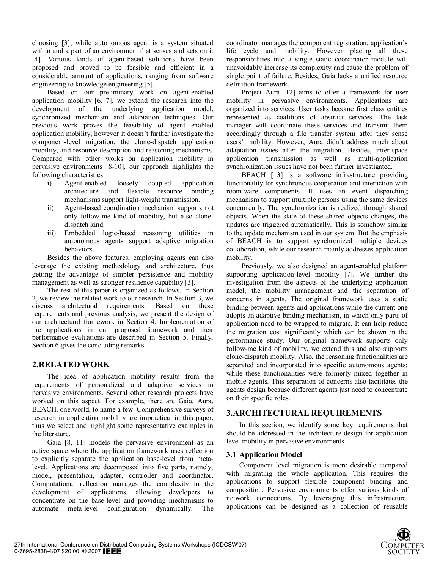choosing [3]; while autonomous agent is a system situated within and a part of an environment that senses and acts on it [4]. Various kinds of agent-based solutions have been proposed and proved to be feasible and efficient in a considerable amount of applications, ranging from software engineering to knowledge engineering [5].

Based on our preliminary work on agent-enabled application mobility [6, 7], we extend the research into the development of the underlying application model, synchronized mechanism and adaptation techniques. Our previous work proves the feasibility of agent enabled application mobility; however it doesn't further investigate the component-level migration, the clone-dispatch application mobility, and resource description and reasoning mechanisms. Compared with other works on application mobility in pervasive environments [8-10], our approach highlights the following characteristics:

- i) Agent-enabled loosely coupled application architecture and flexible resource binding mechanisms support light-weight transmission.
- ii) Agent-based coordination mechanism supports not only follow-me kind of mobility, but also clonedispatch kind.
- iii) Embedded logic-based reasoning utilities in autonomous agents support adaptive migration behaviors.

Besides the above features, employing agents can also leverage the existing methodology and architecture, thus getting the advantage of simpler persistence and mobility management as well as stronger resilience capability [3].

The rest of this paper is organized as follows. In Section 2, we review the related work to our research. In Section 3, we discuss architectural requirements. Based on these requirements and previous analysis, we present the design of our architectural framework in Section 4. Implementation of the applications in our proposed framework and their performance evaluations are described in Section 5. Finally, Section 6 gives the concluding remarks.

# **2.RELATED WORK**

The idea of application mobility results from the requirements of personalized and adaptive services in pervasive environments. Several other research projects have worked on this aspect. For example, there are Gaia, Aura, BEACH, one.world, to name a few. Comprehensive surveys of research in application mobility are impractical in this paper, thus we select and highlight some representative examples in the literature.

Gaia [8, 11] models the pervasive environment as an active space where the application framework uses reflection to explicitly separate the application base-level from metalevel. Applications are decomposed into five parts, namely, model, presentation, adapter, controller and coordinator. Computational reflection manages the complexity in the development of applications, allowing developers to concentrate on the base-level and providing mechanisms to automate meta-level configuration dynamically. The

coordinator manages the component registration, application's life cycle and mobility. However placing all these responsibilities into a single static coordinator module will unavoidably increase its complexity and cause the problem of single point of failure. Besides, Gaia lacks a unified resource definition framework.

Project Aura [12] aims to offer a framework for user mobility in pervasive environments. Applications are organized into services. User tasks become first class entities represented as coalitions of abstract services. The task manager will coordinate these services and transmit them accordingly through a file transfer system after they sense users' mobility. However, Aura didn't address much about adaptation issues after the migration. Besides, inter-space application transmission as well as multi-application synchronization issues have not been further investigated.

BEACH [13] is a software infrastructure providing functionality for synchronous cooperation and interaction with room-ware components. It uses an event dispatching mechanism to support multiple persons using the same devices concurrently. The synchronization is realized through shared objects. When the state of these shared objects changes, the updates are triggered automatically. This is somehow similar to the update mechanism used in our system. But the emphasis of BEACH is to support synchronized multiple devices collaboration, while our research mainly addresses application mobility.

Previously, we also designed an agent-enabled platform supporting application-level mobility [7]. We further the investigation from the aspects of the underlying application model, the mobility management and the separation of concerns in agents. The original framework uses a static binding between agents and applications while the current one adopts an adaptive binding mechanism, in which only parts of application need to be wrapped to migrate. It can help reduce the migration cost significantly which can be shown in the performance study. Our original framework supports only follow-me kind of mobility, we extend this and also supports clone-dispatch mobility. Also, the reasoning functionalities are separated and incorporated into specific autonomous agents; while these functionalities were formerly mixed together in mobile agents. This separation of concerns also facilitates the agents design because different agents just need to concentrate on their specific roles.

# **3.ARCHITECTURAL REQUIREMENTS**

In this section, we identify some key requirements that should be addressed in the architecture design for application level mobility in pervasive environments.

# **3.1 Application Model**

Component level migration is more desirable compared with migrating the whole application. This requires the applications to support flexible component binding and composition. Pervasive environments offer various kinds of network connections. By leveraging this infrastructure, applications can be designed as a collection of reusable

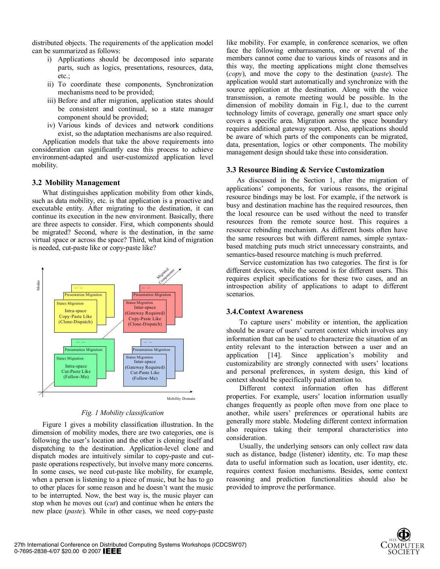distributed objects. The requirements of the application model can be summarized as follows:

- i) Applications should be decomposed into separate parts, such as logics, presentations, resources, data, etc.;
- ii) To coordinate these components, Synchronization mechanisms need to be provided;
- iii) Before and after migration, application states should be consistent and continual, so a state manager component should be provided;
- iv) Various kinds of devices and network conditions exist, so the adaptation mechanisms are also required.

Application models that take the above requirements into consideration can significantly ease this process to achieve environment-adapted and user-customized application level mobility.

#### **3.2 Mobility Management**

What distinguishes application mobility from other kinds, such as data mobility, etc. is that application is a proactive and executable entity. After migrating to the destination, it can continue its execution in the new environment. Basically, there are three aspects to consider. First, which components should be migrated? Second, where is the destination, in the same virtual space or across the space? Third, what kind of migration is needed, cut-paste like or copy-paste like?



#### *Fig. 1 Mobility classification*

Figure 1 gives a mobility classification illustration. In the dimension of mobility modes, there are two categories, one is following the user's location and the other is cloning itself and dispatching to the destination. Application-level clone and dispatch modes are intuitively similar to copy-paste and cutpaste operations respectively, but involve many more concerns. In some cases, we need cut-paste like mobility, for example, when a person is listening to a piece of music, but he has to go to other places for some reason and he doesn't want the music to be interrupted. Now, the best way is, the music player can stop when he moves out (*cut*) and continue when he enters the new place (*paste*). While in other cases, we need copy-paste like mobility. For example, in conference scenarios, we often face the following embarrassments, one or several of the members cannot come due to various kinds of reasons and in this way, the meeting applications might clone themselves (*copy*), and move the copy to the destination (*paste*). The application would start automatically and synchronize with the source application at the destination. Along with the voice transmission, a remote meeting would be possible. In the dimension of mobility domain in Fig.1, due to the current technology limits of coverage, generally one smart space only covers a specific area. Migration across the space boundary requires additional gateway support. Also, applications should be aware of which parts of the components can be migrated, data, presentation, logics or other components. The mobility management design should take these into consideration.

#### **3.3 Resource Binding & Service Customization**

As discussed in the Section 1, after the migration of applications' components, for various reasons, the original resource bindings may be lost. For example, if the network is busy and destination machine has the required resources, then the local resource can be used without the need to transfer resources from the remote source host. This requires a resource rebinding mechanism. As different hosts often have the same resources but with different names, simple syntaxbased matching puts much strict unnecessary constraints, and semantics-based resource matching is much preferred.

Service customization has two categories. The first is for different devices, while the second is for different users. This requires explicit specifications for these two cases, and an introspection ability of applications to adapt to different scenarios.

#### **3.4.Context Awareness**

To capture users' mobility or intention, the application should be aware of users' current context which involves any information that can be used to characterize the situation of an entity relevant to the interaction between a user and an application [14]. Since application's mobility and customizability are strongly connected with users' locations and personal preferences, in system design, this kind of context should be specifically paid attention to.

Different context information often has different properties. For example, users' location information usually changes frequently as people often move from one place to another, while users' preferences or operational habits are generally more stable. Modeling different context information also requires taking their temporal characteristics into consideration.

Usually, the underlying sensors can only collect raw data such as distance, badge (listener) identity, etc. To map these data to useful information such as location, user identity, etc. requires context fusion mechanisms. Besides, some context reasoning and prediction functionalities should also be provided to improve the performance.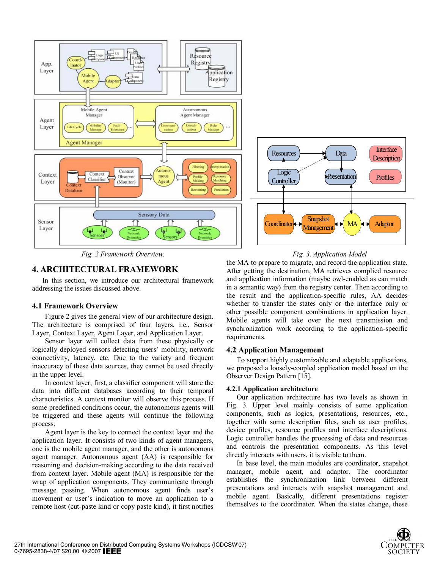

*Fig. 2 Framework Overview. Fig. 3. Application Model* 

# **4. ARCHITECTURAL FRAMEWORK**

In this section, we introduce our architectural framework addressing the issues discussed above.

## **4.1 Framework Overview**

Figure 2 gives the general view of our architecture design. The architecture is comprised of four layers, i.e., Sensor Layer, Context Layer, Agent Layer, and Application Layer.

Sensor layer will collect data from these physically or logically deployed sensors detecting users' mobility, network connectivity, latency, etc. Due to the variety and frequent inaccuracy of these data sources, they cannot be used directly in the upper level.

In context layer, first, a classifier component will store the data into different databases according to their temporal characteristics. A context monitor will observe this process. If some predefined conditions occur, the autonomous agents will be triggered and these agents will continue the following process.

Agent layer is the key to connect the context layer and the application layer. It consists of two kinds of agent managers, one is the mobile agent manager, and the other is autonomous agent manager. Autonomous agent (AA) is responsible for reasoning and decision-making according to the data received from context layer. Mobile agent (MA) is responsible for the wrap of application components. They communicate through message passing. When autonomous agent finds user's movement or user's indication to move an application to a remote host (cut-paste kind or copy paste kind), it first notifies

the MA to prepare to migrate, and record the application state. After getting the destination, MA retrieves complied resource and application information (maybe owl-enabled as can match in a semantic way) from the registry center. Then according to the result and the application-specific rules, AA decides whether to transfer the states only or the interface only or other possible component combinations in application layer. Mobile agents will take over the next transmission and synchronization work according to the application-specific requirements.

# **4.2 Application Management**

To support highly customizable and adaptable applications, we proposed a loosely-coupled application model based on the Observer Design Pattern [15].

## **4.2.1 Application architecture**

Our application architecture has two levels as shown in Fig. 3. Upper level mainly consists of some application components, such as logics, presentations, resources, etc., together with some description files, such as user profiles, device profiles, resource profiles and interface descriptions. Logic controller handles the processing of data and resources and controls the presentation components. As this level directly interacts with users, it is visible to them.

In base level, the main modules are coordinator, snapshot manager, mobile agent, and adaptor. The coordinator establishes the synchronization link between different presentations and interacts with snapshot management and mobile agent. Basically, different presentations register themselves to the coordinator. When the states change, these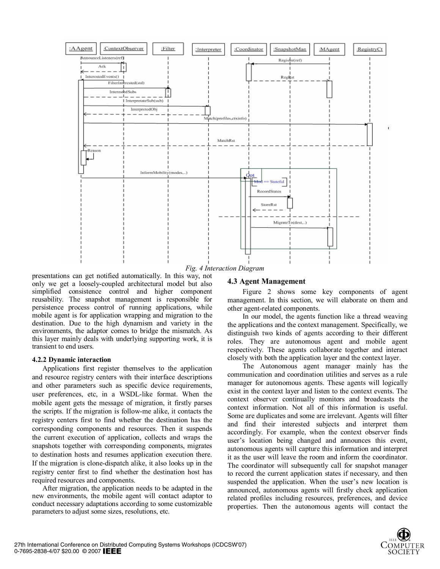

*Fig. 4 Interaction Diagram*

presentations can get notified automatically. In this way, not only we get a loosely-coupled architectural model but also simplified consistence control and higher component reusability. The snapshot management is responsible for persistence process control of running applications, while mobile agent is for application wrapping and migration to the destination. Due to the high dynamism and variety in the environments, the adaptor comes to bridge the mismatch. As this layer mainly deals with underlying supporting work, it is transient to end users.

## **4.2.2 Dynamic interaction**

Applications first register themselves to the application and resource registry centers with their interface descriptions and other parameters such as specific device requirements, user preferences, etc, in a WSDL-like format. When the mobile agent gets the message of migration, it firstly parses the scripts. If the migration is follow-me alike, it contacts the registry centers first to find whether the destination has the corresponding components and resources. Then it suspends the current execution of application, collects and wraps the snapshots together with corresponding components, migrates to destination hosts and resumes application execution there. If the migration is clone-dispatch alike, it also looks up in the registry center first to find whether the destination host has required resources and components.

After migration, the application needs to be adapted in the new environments, the mobile agent will contact adaptor to conduct necessary adaptations according to some customizable parameters to adjust some sizes, resolutions, etc.

# **4.3 Agent Management**

Figure 2 shows some key components of agent management. In this section, we will elaborate on them and other agent-related components.

In our model, the agents function like a thread weaving the applications and the context management. Specifically, we distinguish two kinds of agents according to their different roles. They are autonomous agent and mobile agent respectively. These agents collaborate together and interact closely with both the application layer and the context layer.

The Autonomous agent manager mainly has the communication and coordination utilities and serves as a rule manager for autonomous agents. These agents will logically exist in the context layer and listen to the context events. The context observer continually monitors and broadcasts the context information. Not all of this information is useful. Some are duplicates and some are irrelevant. Agents will filter and find their interested subjects and interpret them accordingly. For example, when the context observer finds user's location being changed and announces this event, autonomous agents will capture this information and interpret it as the user will leave the room and inform the coordinator. The coordinator will subsequently call for snapshot manager to record the current application states if necessary, and then suspended the application. When the user's new location is announced, autonomous agents will firstly check application related profiles including resources, preferences, and device properties. Then the autonomous agents will contact the

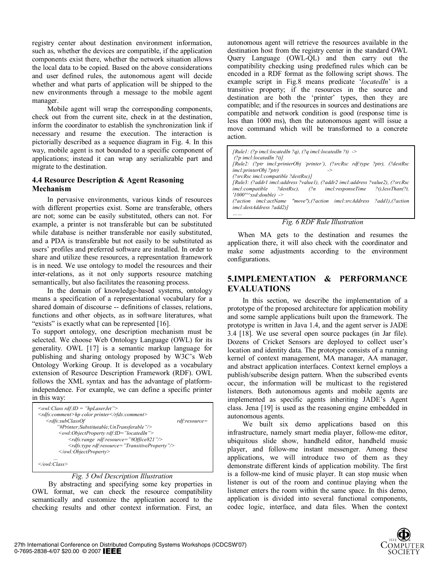registry center about destination environment information, such as, whether the devices are compatible, if the application components exist there, whether the network situation allows the local data to be copied. Based on the above considerations and user defined rules, the autonomous agent will decide whether and what parts of application will be shipped to the new environments through a message to the mobile agent manager.

Mobile agent will wrap the corresponding components, check out from the current site, check in at the destination, inform the coordinator to establish the synchronization link if necessary and resume the execution. The interaction is pictorially described as a sequence diagram in Fig. 4. In this way, mobile agent is not bounded to a specific component of applications; instead it can wrap any serializable part and migrate to the destination.

# **4.4 Resource Description & Agent Reasoning Mechanism**

In pervasive environments, various kinds of resources with different properties exist. Some are transferable, others are not; some can be easily substituted, others can not. For example, a printer is not transferable but can be substituted while database is neither transferable nor easily substituted, and a PDA is transferable but not easily to be substituted as users' profiles and preferred software are installed. In order to share and utilize these resources, a representation framework is in need. We use ontology to model the resources and their inter-relations, as it not only supports resource matching semantically, but also facilitates the reasoning process.

In the domain of knowledge-based systems, ontology means a specification of a representational vocabulary for a shared domain of discourse -- definitions of classes, relations, functions and other objects, as in software literatures, what "exists" is exactly what can be represented [16].

To support ontology, one description mechanism must be selected. We choose Web Ontology Language (OWL) for its generality. OWL [17] is a semantic markup language for publishing and sharing ontology proposed by W3C's Web Ontology Working Group. It is developed as a vocabulary extension of Resource Description Framework (RDF). OWL follows the XML syntax and has the advantage of platformindependence. For example, we can define a specific printer in this way:

| $\langle$ owl: Class rdf: ID = "hpLaserJet"><br><rdfs:comment>hp color printer</rdfs:comment> |               |
|-----------------------------------------------------------------------------------------------|---------------|
|                                                                                               |               |
| $\leq$ rdfs:subClassOf                                                                        | rdf:resource= |
| "#Printer;Substitutable;UnTransferable"/>                                                     |               |
| <owl:objectproperty rdf:id="locatedIn"></owl:objectproperty>                                  |               |
| <rdfs:range rdf:resource="#Office821"></rdfs:range>                                           |               |
| <rdfs:type rdf:resource="TransitiveProperty"></rdfs:type>                                     |               |
| $\le$ /owl:ObjectProperty>                                                                    |               |
| .                                                                                             |               |
| $\langle$ /owl·Class>                                                                         |               |

## *Fig. 5 Owl Description Illustration*

By abstracting and specifying some key properties in OWL format, we can check the resource compatibility semantically and customize the application accord to the checking results and other context information. First, an autonomous agent will retrieve the resources available in the destination host from the registry center in the standard OWL Query Language (OWL-QL) and then carry out the compatibility checking using predefined rules which can be encoded in a RDF format as the following script shows. The example script in Fig.8 means predicate '*locatedIn*' is a transitive property; if the resources in the source and destination are both the 'printer' types, then they are compatible; and if the resources in sources and destinations are compatible and network condition is good (response time is less than 1000 ms), then the autonomous agent will issue a move command which will be transformed to a concrete action.

| [Rule1: (?p imcl:locatedIn ?q), (?q imcl:locatedIn ?t) ->                      |
|--------------------------------------------------------------------------------|
| $(?p$ imcl:locatedIn $?t)$ ]                                                   |
| [Rule2: (?ptr imcl:printerObj 'printer'), (?srcRsc rdf:type ?ptr), (?destRsc   |
| imcl: printerObj ?ptr)<br>$\Rightarrow$                                        |
| (?srcRsc imcl:compatible ?destRsc)]                                            |
| [Rule3: (?addr1 imcl:address ?value1), (?addr2 imcl:address ?value2), (?srcRsc |
| imcl:compatible ?destRsc), $(2n$ imcl:responseTime $2t$ ),lessThan(?t,         |
| $'1000''''$ xsd:double) ->                                                     |
| (?action imcl:actName "move"), (?action imcl:srcAddress ?add1), (?action       |
| imcl:destAddress ?add2)]                                                       |
|                                                                                |

#### *Fig. 6 RDF Rule Illustration*

When MA gets to the destination and resumes the application there, it will also check with the coordinator and make some adjustments according to the environment configurations.

# **5.IMPLEMENTATION & PERFORMANCE EVALUATIONS**

In this section, we describe the implementation of a prototype of the proposed architecture for application mobility and some sample applications built upon the framework. The prototype is written in Java 1.4, and the agent server is JADE 3.4 [18]. We use several open source packages (in Jar file). Dozens of Cricket Sensors are deployed to collect user's location and identity data. The prototype consists of a running kernel of context management, MA manager, AA manager, and abstract application interfaces. Context kernel employs a publish/subscribe design pattern. When the subscribed events occur, the information will be multicast to the registered listeners. Both autonomous agents and mobile agents are implemented as specific agents inheriting JADE's Agent class. Jena [19] is used as the reasoning engine embedded in autonomous agents.

We built six demo applications based on this infrastructure, namely smart media player, follow-me editor, ubiquitous slide show, handheld editor, handheld music player, and follow-me instant messenger. Among these applications, we will introduce two of them as they demonstrate different kinds of application mobility. The first is a follow-me kind of music player. It can stop music when listener is out of the room and continue playing when the listener enters the room within the same space. In this demo, application is divided into several functional components, codec logic, interface, and data files. When the context

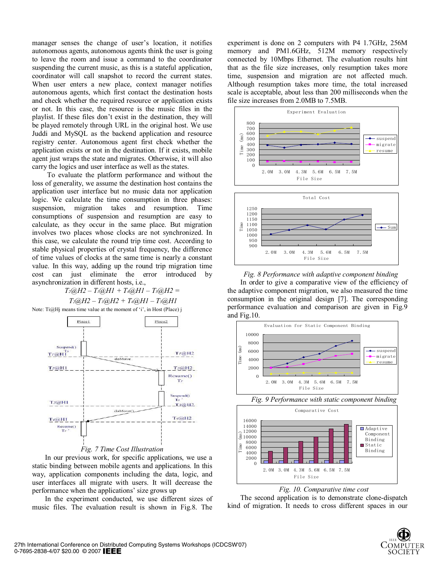manager senses the change of user's location, it notifies autonomous agents, autonomous agents think the user is going to leave the room and issue a command to the coordinator suspending the current music, as this is a stateful application, coordinator will call snapshot to record the current states. When user enters a new place, context manager notifies autonomous agents, which first contact the destination hosts and check whether the required resource or application exists or not. In this case, the resource is the music files in the playlist. If these files don't exist in the destination, they will be played remotely through URL in the original host. We use Juddi and MySQL as the backend application and resource registry center. Autonomous agent first check whether the application exists or not in the destination. If it exists, mobile agent just wraps the state and migrates. Otherwise, it will also carry the logics and user interface as well as the states.

To evaluate the platform performance and without the loss of generality, we assume the destination host contains the application user interface but no music data nor application logic. We calculate the time consumption in three phases: suspension, migration takes and resumption. Time consumptions of suspension and resumption are easy to calculate, as they occur in the same place. But migration involves two places whose clocks are not synchronized. In this case, we calculate the round trip time cost. According to stable physical properties of crystal frequency, the difference of time values of clocks at the same time is nearly a constant value. In this way, adding up the round trip migration time cost can just eliminate the error introduced by asynchronization in different hosts, i.e.,

> *T2@H2 – T1@H1 + T4@H1 – T3@H2 = T2@H2 – T1@H2 + T4@H1 – T3@H1*

Note: Ti@Hj means time value at the moment of 'i', in Host (Place) j



*Fig. 7 Time Cost Illustration* 

In our previous work, for specific applications, we use a static binding between mobile agents and applications. In this way, application components including the data, logic, and user interfaces all migrate with users. It will decrease the performance when the applications' size grows up

In the experiment conducted, we use different sizes of music files. The evaluation result is shown in Fig.8. The experiment is done on 2 computers with P4 1.7GHz, 256M memory and PM1.6GHz, 512M memory respectively connected by 10Mbps Ethernet. The evaluation results hint that as the file size increases, only resumption takes more time, suspension and migration are not affected much. Although resumption takes more time, the total increased scale is acceptable, about less than 200 milliseconds when the file size increases from 2.0MB to 7.5MB.





*Fig. 8 Performance with adaptive component binding* In order to give a comparative view of the efficiency of the adaptive component migration, we also measured the time consumption in the original design [7]. The corresponding performance evaluation and comparison are given in Fig.9 and Fig.10.





*Fig. 10. Comparative time cost*

The second application is to demonstrate clone-dispatch kind of migration. It needs to cross different spaces in our